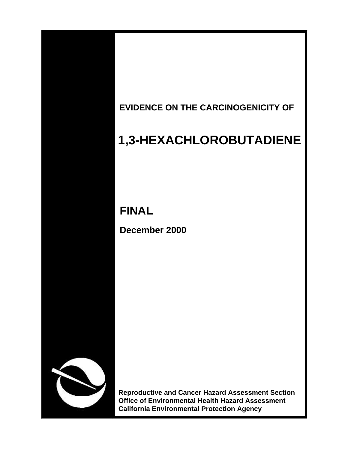## **EVIDENCE ON THE CARCINOGENICITY OF**

# **1,3-HEXACHLOROBUTADIENE**

**FINAL**

 $\overline{\phantom{a}}$ 

 **December 2000**



 **Reproductive and Cancer Hazard Assessment Section Office of Environmental Health Hazard Assessment California Environmental Protection Agency**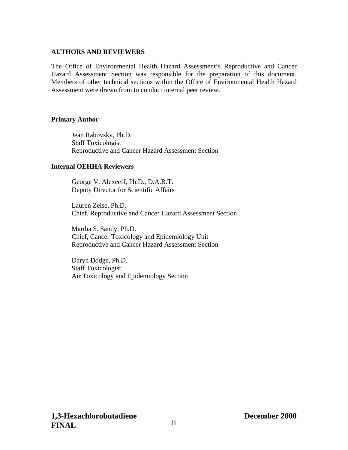#### **AUTHORS AND REVIEWERS**

The Office of Environmental Health Hazard Assessment's Reproductive and Cancer Hazard Assessment Section was responsible for the preparation of this document. Members of other technical sections within the Office of Environmental Health Hazard Assessment were drawn from to conduct internal peer review.

#### **Primary Author**

Jean Rabovsky, Ph.D. Staff Toxicologist Reproductive and Cancer Hazard Assessment Section

#### **Internal OEHHA Reviewers**

George V. Alexeeff, Ph.D., D.A.B.T. Deputy Director for Scientific Affairs

Lauren Zeise, Ph.D. Chief, Reproductive and Cancer Hazard Assessment Section

Martha S. Sandy, Ph.D. Chief, Cancer Toxicology and Epidemiology Unit Reproductive and Cancer Hazard Assessment Section

Daryn Dodge, Ph.D. Staff Toxicologist Air Toxicology and Epidemiology Section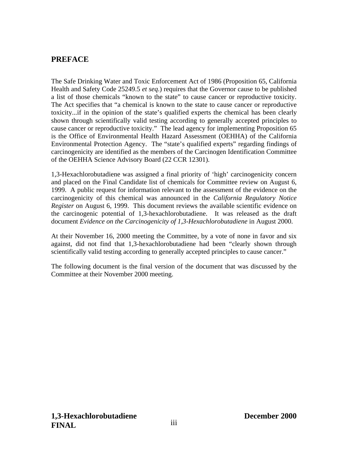## <span id="page-2-0"></span>**PREFACE**

The Safe Drinking Water and Toxic Enforcement Act of 1986 (Proposition 65, California Health and Safety Code 25249.5 *et seq*.) requires that the Governor cause to be published a list of those chemicals "known to the state" to cause cancer or reproductive toxicity. The Act specifies that "a chemical is known to the state to cause cancer or reproductive toxicity...if in the opinion of the state's qualified experts the chemical has been clearly shown through scientifically valid testing according to generally accepted principles to cause cancer or reproductive toxicity." The lead agency for implementing Proposition 65 is the Office of Environmental Health Hazard Assessment (OEHHA) of the California Environmental Protection Agency. The "state's qualified experts" regarding findings of carcinogenicity are identified as the members of the Carcinogen Identification Committee of the OEHHA Science Advisory Board (22 CCR 12301).

1,3-Hexachlorobutadiene was assigned a final priority of 'high' carcinogenicity concern and placed on the Final Candidate list of chemicals for Committee review on August 6, 1999. A public request for information relevant to the assessment of the evidence on the carcinogenicity of this chemical was announced in the *California Regulatory Notice Register* on August 6, 1999. This document reviews the available scientific evidence on the carcinogenic potential of 1,3-hexachlorobutadiene. It was released as the draft document *Evidence on the Carcinogenicity of 1,3-Hexachlorobutadiene* in August 2000.

At their November 16, 2000 meeting the Committee, by a vote of none in favor and six against, did not find that 1,3-hexachlorobutadiene had been "clearly shown through scientifically valid testing according to generally accepted principles to cause cancer."

The following document is the final version of the document that was discussed by the Committee at their November 2000 meeting.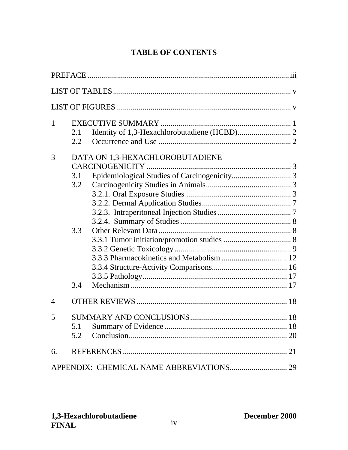## **TABLE OF CONTENTS**

| $\mathbf{1}$   | 2.1<br>2.2                                                  |  |  |  |
|----------------|-------------------------------------------------------------|--|--|--|
| 3              | DATA ON 1,3-HEXACHLOROBUTADIENE<br>3.1<br>3.2<br>3.3<br>3.4 |  |  |  |
| $\overline{4}$ |                                                             |  |  |  |
| 5              | 5.1<br>5.2                                                  |  |  |  |
| 6.             |                                                             |  |  |  |
|                |                                                             |  |  |  |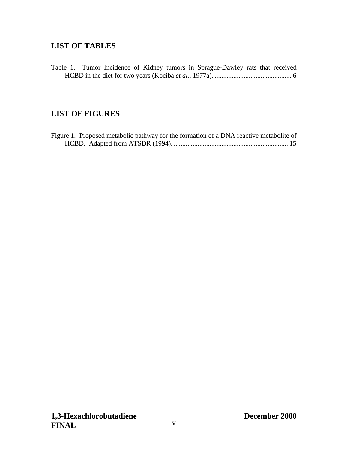## <span id="page-4-0"></span>**LIST OF TABLES**

Table 1. Tumor Incidence of Kidney tumors in Sprague-Dawley rats that received HCBD in the diet for two years (Kociba *et al.*, 1977a). ............................................. 6

## **LIST OF FIGURES**

|  |  |  | Figure 1. Proposed metabolic pathway for the formation of a DNA reactive metabolite of |
|--|--|--|----------------------------------------------------------------------------------------|
|  |  |  |                                                                                        |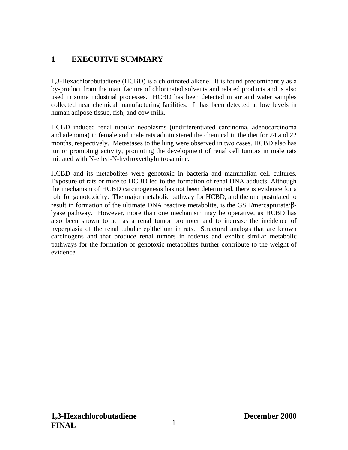## <span id="page-5-0"></span>**1 EXECUTIVE SUMMARY**

1,3-Hexachlorobutadiene (HCBD) is a chlorinated alkene. It is found predominantly as a by-product from the manufacture of chlorinated solvents and related products and is also used in some industrial processes. HCBD has been detected in air and water samples collected near chemical manufacturing facilities. It has been detected at low levels in human adipose tissue, fish, and cow milk.

HCBD induced renal tubular neoplasms (undifferentiated carcinoma, adenocarcinoma and adenoma) in female and male rats administered the chemical in the diet for 24 and 22 months, respectively. Metastases to the lung were observed in two cases. HCBD also has tumor promoting activity, promoting the development of renal cell tumors in male rats initiated with N-ethyl-N-hydroxyethylnitrosamine.

HCBD and its metabolites were genotoxic in bacteria and mammalian cell cultures. Exposure of rats or mice to HCBD led to the formation of renal DNA adducts. Although the mechanism of HCBD carcinogenesis has not been determined, there is evidence for a role for genotoxicity. The major metabolic pathway for HCBD, and the one postulated to result in formation of the ultimate DNA reactive metabolite, is the GSH/mercapturate/blyase pathway. However, more than one mechanism may be operative, as HCBD has also been shown to act as a renal tumor promoter and to increase the incidence of hyperplasia of the renal tubular epithelium in rats. Structural analogs that are known carcinogens and that produce renal tumors in rodents and exhibit similar metabolic pathways for the formation of genotoxic metabolites further contribute to the weight of evidence.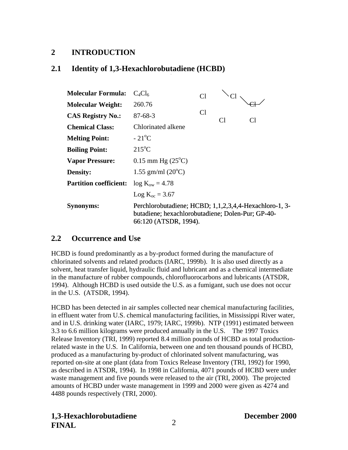## <span id="page-6-0"></span>**2 INTRODUCTION**

### **2.1 Identity of 1,3-Hexachlorobutadiene (HCBD)**

| <b>Molecular Formula:</b>     | $C_4Cl_6$                                                                                                                            | Cl |    |    |
|-------------------------------|--------------------------------------------------------------------------------------------------------------------------------------|----|----|----|
| <b>Molecular Weight:</b>      | 260.76                                                                                                                               |    |    |    |
| <b>CAS Registry No.:</b>      | $87 - 68 - 3$                                                                                                                        | Cl | Cl | Cl |
| <b>Chemical Class:</b>        | Chlorinated alkene                                                                                                                   |    |    |    |
| <b>Melting Point:</b>         | $-21^{\circ}$ C                                                                                                                      |    |    |    |
| <b>Boiling Point:</b>         | $215^{\circ}$ C                                                                                                                      |    |    |    |
| <b>Vapor Pressure:</b>        | $0.15$ mm Hg $(25^{\circ}C)$                                                                                                         |    |    |    |
| <b>Density:</b>               | 1.55 gm/ml $(20^{\circ}C)$                                                                                                           |    |    |    |
| <b>Partition coefficient:</b> | $log K_{ow} = 4.78$                                                                                                                  |    |    |    |
|                               | $Log Koc = 3.67$                                                                                                                     |    |    |    |
| <b>Synonyms:</b>              | Perchlorobutadiene; HCBD; 1,1,2,3,4,4-Hexachloro-1, 3-<br>butadiene; hexachlorobutadiene; Dolen-Pur; GP-40-<br>66:120 (ATSDR, 1994). |    |    |    |

#### **2.2 Occurrence and Use**

HCBD is found predominantly as a by-product formed during the manufacture of chlorinated solvents and related products (IARC, 1999b). It is also used directly as a solvent, heat transfer liquid, hydraulic fluid and lubricant and as a chemical intermediate in the manufacture of rubber compounds, chlorofluorocarbons and lubricants (ATSDR, 1994). Although HCBD is used outside the U.S. as a fumigant, such use does not occur in the U.S. (ATSDR, 1994).

HCBD has been detected in air samples collected near chemical manufacturing facilities, in effluent water from U.S. chemical manufacturing facilities, in Mississippi River water, and in U.S. drinking water (IARC, 1979; IARC, 1999b). NTP (1991) estimated between 3.3 to 6.6 million kilograms were produced annually in the U.S. The 1997 Toxics Release Inventory (TRI, 1999) reported 8.4 million pounds of HCBD as total productionrelated waste in the U.S. In California, between one and ten thousand pounds of HCBD, produced as a manufacturing by-product of chlorinated solvent manufacturing, was reported on-site at one plant (data from Toxics Release Inventory (TRI, 1992) for 1990, as described in ATSDR, 1994). In 1998 in California, 4071 pounds of HCBD were under waste management and five pounds were released to the air (TRI, 2000). The projected amounts of HCBD under waste management in 1999 and 2000 were given as 4274 and 4488 pounds respectively (TRI, 2000).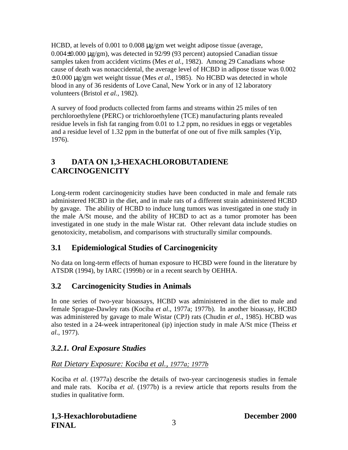<span id="page-7-0"></span>HCBD, at levels of 0.001 to 0.008  $\mu$ g/gm wet weight adipose tissue (average,  $0.004\pm0.000$   $\mu$ g/gm), was detected in 92/99 (93 percent) autopsied Canadian tissue samples taken from accident victims (Mes *et al.*, 1982). Among 29 Canadians whose cause of death was nonaccidental, the average level of HCBD in adipose tissue was 0.002  $\pm$  0.000  $\mu$ g/gm wet weight tissue (Mes *et al.*, 1985). No HCBD was detected in whole blood in any of 36 residents of Love Canal, New York or in any of 12 laboratory volunteers (Bristol *et al.*, 1982).

A survey of food products collected from farms and streams within 25 miles of ten perchloroethylene (PERC) or trichloroethylene (TCE) manufacturing plants revealed residue levels in fish fat ranging from 0.01 to 1.2 ppm, no residues in eggs or vegetables and a residue level of 1.32 ppm in the butterfat of one out of five milk samples (Yip, 1976).

## **3 DATA ON 1,3-HEXACHLOROBUTADIENE CARCINOGENICITY**

Long-term rodent carcinogenicity studies have been conducted in male and female rats administered HCBD in the diet, and in male rats of a different strain administered HCBD by gavage. The ability of HCBD to induce lung tumors was investigated in one study in the male A/St mouse, and the ability of HCBD to act as a tumor promoter has been investigated in one study in the male Wistar rat. Other relevant data include studies on genotoxicity, metabolism, and comparisons with structurally similar compounds.

## **3.1 Epidemiological Studies of Carcinogenicity**

No data on long-term effects of human exposure to HCBD were found in the literature by ATSDR (1994), by IARC (1999b) or in a recent search by OEHHA.

## **3.2 Carcinogenicity Studies in Animals**

In one series of two-year bioassays, HCBD was administered in the diet to male and female Sprague-Dawley rats (Kociba *et al*., 1977a; 1977b). In another bioassay, HCBD was administered by gavage to male Wistar (CPJ) rats (Chudin *et al*., 1985). HCBD was also tested in a 24-week intraperitoneal (ip) injection study in male A/St mice (Theiss *et al*., 1977).

## *3.2.1. Oral Exposure Studies*

## *Rat Dietary Exposure: Kociba et al., 1977a; 1977b*

Kociba *et al*. (1977a) describe the details of two-year carcinogenesis studies in female and male rats. Kociba *et al*. (1977b) is a review article that reports results from the studies in qualitative form.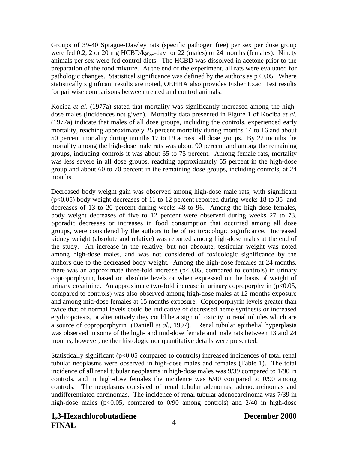Groups of 39-40 Sprague-Dawley rats (specific pathogen free) per sex per dose group were fed 0.2, 2 or 20 mg HCBD/kg<sub>bw</sub>-day for 22 (males) or 24 months (females). Ninety animals per sex were fed control diets. The HCBD was dissolved in acetone prior to the preparation of the food mixture. At the end of the experiment, all rats were evaluated for pathologic changes. Statistical significance was defined by the authors as  $p<0.05$ . Where statistically significant results are noted, OEHHA also provides Fisher Exact Test results for pairwise comparisons between treated and control animals.

Kociba *et al*. (1977a) stated that mortality was significantly increased among the highdose males (incidences not given). Mortality data presented in Figure 1 of Kociba *et al*. (1977a) indicate that males of all dose groups, including the controls, experienced early mortality, reaching approximately 25 percent mortality during months 14 to 16 and about 50 percent mortality during months 17 to 19 across all dose groups. By 22 months the mortality among the high-dose male rats was about 90 percent and among the remaining groups, including controls it was about 65 to 75 percent. Among female rats, mortality was less severe in all dose groups, reaching approximately 55 percent in the high-dose group and about 60 to 70 percent in the remaining dose groups, including controls, at 24 months.

Decreased body weight gain was observed among high-dose male rats, with significant (p<0.05) body weight decreases of 11 to 12 percent reported during weeks 18 to 35 and decreases of 13 to 20 percent during weeks 48 to 96. Among the high-dose females, body weight decreases of five to 12 percent were observed during weeks 27 to 73. Sporadic decreases or increases in food consumption that occurred among all dose groups, were considered by the authors to be of no toxicologic significance. Increased kidney weight (absolute and relative) was reported among high-dose males at the end of the study. An increase in the relative, but not absolute, testicular weight was noted among high-dose males, and was not considered of toxicologic significance by the authors due to the decreased body weight. Among the high-dose females at 24 months, there was an approximate three-fold increase  $(p<0.05$ , compared to controls) in urinary coproporphyrin, based on absolute levels or when expressed on the basis of weight of urinary creatinine. An approximate two-fold increase in urinary coproporphyrin  $(p<0.05$ , compared to controls) was also observed among high-dose males at 12 months exposure and among mid-dose females at 15 months exposure. Coproporphyrin levels greater than twice that of normal levels could be indicative of decreased heme synthesis or increased erythropoiesis, or alternatively they could be a sign of toxicity to renal tubules which are a source of coproporphyrin (Daniell *et al.*, 1997). Renal tubular epithelial hyperplasia was observed in some of the high- and mid-dose female and male rats between 13 and 24 months; however, neither histologic nor quantitative details were presented.

Statistically significant (p<0.05 compared to controls) increased incidences of total renal tubular neoplasms were observed in high-dose males and females (Table 1). The total incidence of all renal tubular neoplasms in high-dose males was 9/39 compared to 1/90 in controls, and in high-dose females the incidence was 6/40 compared to 0/90 among controls. The neoplasms consisted of renal tubular adenomas, adenocarcinomas and undifferentiated carcinomas. The incidence of renal tubular adenocarcinoma was 7/39 in high-dose males (p<0.05, compared to 0/90 among controls) and 2/40 in high-dose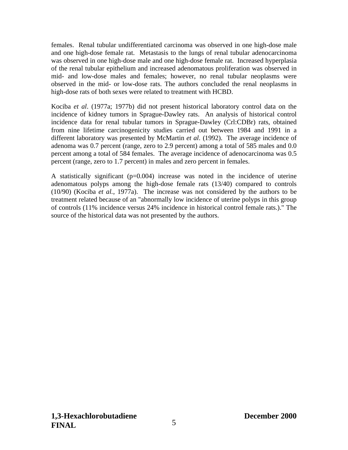females. Renal tubular undifferentiated carcinoma was observed in one high-dose male and one high-dose female rat. Metastasis to the lungs of renal tubular adenocarcinoma was observed in one high-dose male and one high-dose female rat. Increased hyperplasia of the renal tubular epithelium and increased adenomatous proliferation was observed in mid- and low-dose males and females; however, no renal tubular neoplasms were observed in the mid- or low-dose rats. The authors concluded the renal neoplasms in high-dose rats of both sexes were related to treatment with HCBD.

Kociba *et al*. (1977a; 1977b) did not present historical laboratory control data on the incidence of kidney tumors in Sprague-Dawley rats. An analysis of historical control incidence data for renal tubular tumors in Sprague-Dawley (Crl:CDBr) rats, obtained from nine lifetime carcinogenicity studies carried out between 1984 and 1991 in a different laboratory was presented by McMartin *et al*. (1992). The average incidence of adenoma was 0.7 percent (range, zero to 2.9 percent) among a total of 585 males and 0.0 percent among a total of 584 females. The average incidence of adenocarcinoma was 0.5 percent (range, zero to 1.7 percent) in males and zero percent in females.

A statistically significant  $(p=0.004)$  increase was noted in the incidence of uterine adenomatous polyps among the high-dose female rats (13/40) compared to controls (10/90) (Kociba *et al.*, 1977a). The increase was not considered by the authors to be treatment related because of an "abnormally low incidence of uterine polyps in this group of controls (11% incidence versus 24% incidence in historical control female rats.)." The source of the historical data was not presented by the authors.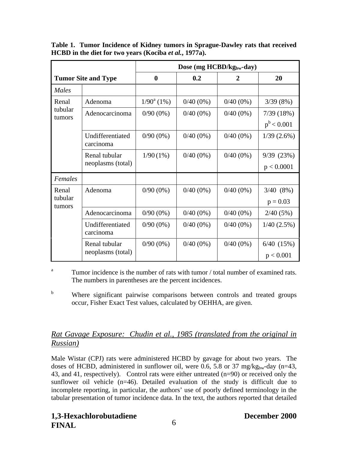|                   |                                    | Dose (mg HCBD/kg <sub>bw</sub> -day) |             |              |                |
|-------------------|------------------------------------|--------------------------------------|-------------|--------------|----------------|
|                   | <b>Tumor Site and Type</b>         | $\boldsymbol{0}$                     | 0.2         | $\mathbf{2}$ | 20             |
| Males             |                                    |                                      |             |              |                |
| Renal             | Adenoma                            | $1/90^a$ (1%)                        | $0/40(0\%)$ | $0/40(0\%)$  | 3/39(8%)       |
| tubular<br>tumors | Adenocarcinoma                     | $0/90(0\%)$                          | $0/40(0\%)$ | $0/40(0\%)$  | 7/39 (18%)     |
|                   |                                    |                                      |             |              | $p^b < 0.001$  |
|                   | Undifferentiated<br>carcinoma      | $0/90(0\%)$                          | $0/40(0\%)$ | $0/40(0\%)$  | 1/39(2.6%)     |
|                   | Renal tubular<br>neoplasms (total) | 1/90(1%)                             | $0/40(0\%)$ | $0/40(0\%)$  | 9/39 (23%)     |
|                   |                                    |                                      |             |              | p < 0.0001     |
| Females           |                                    |                                      |             |              |                |
| Renal             | Adenoma                            | $0/90(0\%)$                          | $0/40(0\%)$ | $0/40(0\%)$  | 3/40(8%)       |
| tubular<br>tumors |                                    |                                      |             |              | $p = 0.03$     |
|                   | Adenocarcinoma                     | $0/90(0\%)$                          | $0/40(0\%)$ | $0/40(0\%)$  | 2/40(5%)       |
|                   | Undifferentiated<br>carcinoma      | $0/90(0\%)$                          | $0/40(0\%)$ | $0/40(0\%)$  | $1/40$ (2.5%)  |
|                   | Renal tubular                      | $0/90(0\%)$                          | $0/40(0\%)$ | $0/40(0\%)$  | $6/40$ $(15%)$ |
|                   | neoplasms (total)                  |                                      |             |              | p < 0.001      |

**Table 1. Tumor Incidence of Kidney tumors in Sprague-Dawley rats that received HCBD in the diet for two years (Kociba** *et al.***, 1977a).** 

<sup>a</sup> Tumor incidence is the number of rats with tumor  $/$  total number of examined rats. The numbers in parentheses are the percent incidences.

b Where significant pairwise comparisons between controls and treated groups occur, Fisher Exact Test values, calculated by OEHHA, are given.

## *Rat Gavage Exposure: Chudin et al., 1985 (translated from the original in Russian)*

Male Wistar (CPJ) rats were administered HCBD by gavage for about two years. The doses of HCBD, administered in sunflower oil, were 0.6, 5.8 or 37 mg/kg<sub>bw</sub>-day (n=43, 43, and 41, respectively). Control rats were either untreated (n=90) or received only the sunflower oil vehicle  $(n=46)$ . Detailed evaluation of the study is difficult due to incomplete reporting, in particular, the authors' use of poorly defined terminology in the tabular presentation of tumor incidence data. In the text, the authors reported that detailed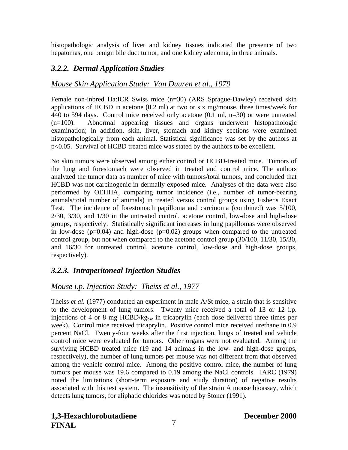<span id="page-11-0"></span>histopathologic analysis of liver and kidney tissues indicated the presence of two hepatomas, one benign bile duct tumor, and one kidney adenoma, in three animals.

## *3.2.2. Dermal Application Studies*

#### *Mouse Skin Application Study: Van Duuren et al., 1979*

Female non-inbred Ha:ICR Swiss mice (n=30) (ARS Sprague-Dawley) received skin applications of HCBD in acetone (0.2 ml) at two or six mg/mouse, three times/week for 440 to 594 days. Control mice received only acetone (0.1 ml, n=30) or were untreated (n=100). Abnormal appearing tissues and organs underwent histopathologic examination; in addition, skin, liver, stomach and kidney sections were examined histopathologically from each animal. Statistical significance was set by the authors at p<0.05. Survival of HCBD treated mice was stated by the authors to be excellent.

No skin tumors were observed among either control or HCBD-treated mice. Tumors of the lung and forestomach were observed in treated and control mice. The authors analyzed the tumor data as number of mice with tumors/total tumors, and concluded that HCBD was not carcinogenic in dermally exposed mice. Analyses of the data were also performed by OEHHA, comparing tumor incidence (i.e., number of tumor-bearing animals/total number of animals) in treated versus control groups using Fisher's Exact Test. The incidence of forestomach papilloma and carcinoma (combined) was 5/100, 2/30, 3/30, and 1/30 in the untreated control, acetone control, low-dose and high-dose groups, respectively. Statistically significant increases in lung papillomas were observed in low-dose  $(p=0.04)$  and high-dose  $(p=0.02)$  groups when compared to the untreated control group, but not when compared to the acetone control group (30/100, 11/30, 15/30, and 16/30 for untreated control, acetone control, low-dose and high-dose groups, respectively).

#### *3.2.3. Intraperitoneal Injection Studies*

#### *Mouse i.p. Injection Study: Theiss et al., 1977*

Theiss *et al.* (1977) conducted an experiment in male A/St mice, a strain that is sensitive to the development of lung tumors. Twenty mice received a total of 13 or 12 i.p. injections of 4 or 8 mg  $HCBD/kg_{bw}$  in tricaprylin (each dose delivered three times per week). Control mice received tricaprylin. Positive control mice received urethane in 0.9 percent NaCl. Twenty-four weeks after the first injection, lungs of treated and vehicle control mice were evaluated for tumors. Other organs were not evaluated. Among the surviving HCBD treated mice (19 and 14 animals in the low- and high-dose groups, respectively), the number of lung tumors per mouse was not different from that observed among the vehicle control mice. Among the positive control mice, the number of lung tumors per mouse was 19.6 compared to 0.19 among the NaCl controls. IARC (1979) noted the limitations (short-term exposure and study duration) of negative results associated with this test system. The insensitivity of the strain A mouse bioassay, which detects lung tumors, for aliphatic chlorides was noted by Stoner (1991).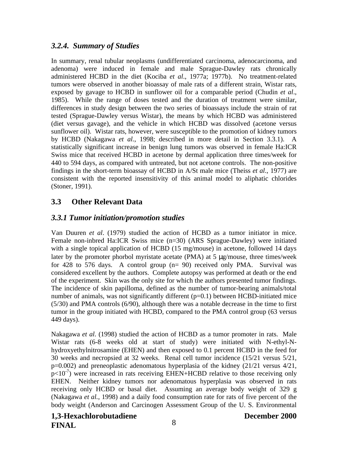## <span id="page-12-0"></span>*3.2.4. Summary of Studies*

In summary, renal tubular neoplasms (undifferentiated carcinoma, adenocarcinoma, and adenoma) were induced in female and male Sprague-Dawley rats chronically administered HCBD in the diet (Kociba *et al*., 1977a; 1977b). No treatment-related tumors were observed in another bioassay of male rats of a different strain, Wistar rats, exposed by gavage to HCBD in sunflower oil for a comparable period (Chudin *et al*., 1985). While the range of doses tested and the duration of treatment were similar, differences in study design between the two series of bioassays include the strain of rat tested (Sprague-Dawley versus Wistar), the means by which HCBD was administered (diet versus gavage), and the vehicle in which HCBD was dissolved (acetone versus sunflower oil). Wistar rats, however, were susceptible to the promotion of kidney tumors by HCBD (Nakagawa *et al.*, 1998; described in more detail in Section 3.3.1). A statistically significant increase in benign lung tumors was observed in female Ha:ICR Swiss mice that received HCBD in acetone by dermal application three times/week for 440 to 594 days, as compared with untreated, but not acetone controls. The non-positive findings in the short-term bioassay of HCBD in A/St male mice (Theiss *et al*., 1977) are consistent with the reported insensitivity of this animal model to aliphatic chlorides (Stoner, 1991).

## **3.3 Other Relevant Data**

#### *3.3.1 Tumor initiation/promotion studies*

Van Duuren *et al*. (1979) studied the action of HCBD as a tumor initiator in mice. Female non-inbred Ha:ICR Swiss mice (n=30) (ARS Sprague-Dawley) were initiated with a single topical application of HCBD (15 mg/mouse) in acetone, followed 14 days later by the promoter phorbol myristate acetate (PMA) at  $5 \mu g/mouse$ , three times/week for 428 to 576 days. A control group (n= 90) received only PMA. Survival was considered excellent by the authors. Complete autopsy was performed at death or the end of the experiment. Skin was the only site for which the authors presented tumor findings. The incidence of skin papilloma, defined as the number of tumor-bearing animals/total number of animals, was not significantly different (p=0.1) between HCBD-initiated mice (5/30) and PMA controls (6/90), although there was a notable decrease in the time to first tumor in the group initiated with HCBD, compared to the PMA control group (63 versus 449 days).

Nakagawa *et al*. (1998) studied the action of HCBD as a tumor promoter in rats. Male Wistar rats (6-8 weeks old at start of study) were initiated with N-ethyl-Nhydroxyethylnitrosamine (EHEN) and then exposed to 0.1 percent HCBD in the feed for 30 weeks and necropsied at 32 weeks. Renal cell tumor incidence (15/21 versus 5/21, p=0.002) and preneoplastic adenomatous hyperplasia of the kidney (21/21 versus 4/21,  $p<10^{-7}$ ) were increased in rats receiving EHEN+HCBD relative to those receiving only EHEN. Neither kidney tumors nor adenomatous hyperplasia was observed in rats receiving only HCBD or basal diet. Assuming an average body weight of 329 g (Nakagawa *et al.*, 1998) and a daily food consumption rate for rats of five percent of the body weight (Anderson and Carcinogen Assessment Group of the U. S. Environmental

### **1,3-Hexachlorobutadiene December 2000**  8 **FINAL**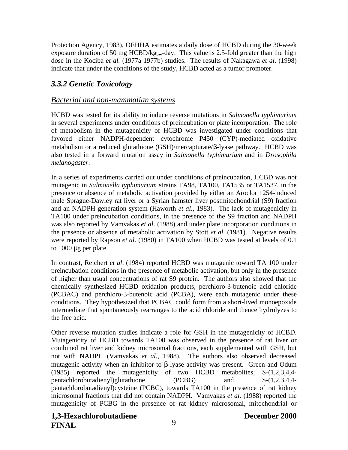<span id="page-13-0"></span> dose in the Kociba *et al.* (1977a 1977b) studies. The results of Nakagawa *et al*. (1998) Protection Agency, 1983), OEHHA estimates a daily dose of HCBD during the 30-week exposure duration of 50 mg  $HCBD/kg_{bw}$ -day. This value is 2.5-fold greater than the high indicate that under the conditions of the study, HCBD acted as a tumor promoter.

## *3.3.2 Genetic Toxicology*

#### *Bacterial and non-mammalian systems*

HCBD was tested for its ability to induce reverse mutations in *Salmonella typhimurium*  in several experiments under conditions of preincubation or plate incorporation. The role of metabolism in the mutagenicity of HCBD was investigated under conditions that favored either NADPH-dependent cytochrome P450 (CYP)-mediated oxidative metabolism or a reduced glutathione (GSH)/mercapturate/ $\beta$ -lyase pathway. HCBD was also tested in a forward mutation assay in *Salmonella typhimurium* and in *Drosophila melanogaster*.

In a series of experiments carried out under conditions of preincubation, HCBD was not mutagenic in *Salmonella typhimurium* strains TA98, TA100, TA1535 or TA1537, in the presence or absence of metabolic activation provided by either an Aroclor 1254-induced male Sprague-Dawley rat liver or a Syrian hamster liver postmitochondrial (S9) fraction and an NADPH generation system (Haworth *et al.*, 1983). The lack of mutagenicity in TA100 under preincubation conditions, in the presence of the S9 fraction and NADPH was also reported by Vamvakas *et al*. (1988) and under plate incorporation conditions in the presence or absence of metabolic activation by Stott *et al*. (1981). Negative results were reported by Rapson *et al*. (1980) in TA100 when HCBD was tested at levels of 0.1 to  $1000 \mu$ g per plate.

In contrast, Reichert *et al*. (1984) reported HCBD was mutagenic toward TA 100 under preincubation conditions in the presence of metabolic activation, but only in the presence of higher than usual concentrations of rat S9 protein. The authors also showed that the chemically synthesized HCBD oxidation products, perchloro-3-butenoic acid chloride (PCBAC) and perchloro-3-butenoic acid (PCBA), were each mutagenic under these conditions. They hypothesized that PCBAC could form from a short-lived monoepoxide intermediate that spontaneously rearranges to the acid chloride and thence hydrolyzes to the free acid.

Other reverse mutation studies indicate a role for GSH in the mutagenicity of HCBD. Mutagenicity of HCBD towards TA100 was observed in the presence of rat liver or combined rat liver and kidney microsomal fractions, each supplemented with GSH, but not with NADPH (Vamvakas *et al.*, 1988). The authors also observed decreased mutagenic activity when an inhibitor to  $\beta$ -lyase activity was present. Green and Odum (1985) reported the mutagenicity of two HCBD metabolites, S-(1,2,3,4,4 pentachlorobutadienyl)glutathione (PCBG) and S-(1,2,3,4,4 pentachlorobutadienyl)cysteine (PCBC), towards TA100 in the presence of rat kidney microsomal fractions that did not contain NADPH. Vamvakas *et al*. (1988) reported the mutagenicity of PCBG in the presence of rat kidney microsomal, mitochondrial or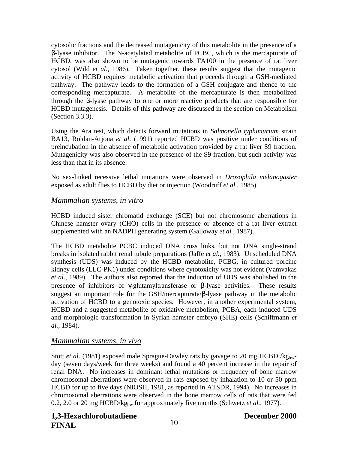cytosolic fractions and the decreased mutagenicity of this metabolite in the presence of a b-lyase inhibitor. The N-acetylated metabolite of PCBC, which is the mercapturate of HCBD, was also shown to be mutagenic towards TA100 in the presence of rat liver cytosol (Wild *et al.*, 1986). Taken together, these results suggest that the mutagenic activity of HCBD requires metabolic activation that proceeds through a GSH-mediated pathway. The pathway leads to the formation of a GSH conjugate and thence to the corresponding mercapturate. A metabolite of the mercapturate is then metabolized through the b-lyase pathway to one or more reactive products that are responsible for HCBD mutagenesis. Details of this pathway are discussed in the section on Metabolism (Section 3.3.3).

Using the Ara test, which detects forward mutations in *Salmonella typhimurium* strain BA13, Roldan-Arjona *et al*. (1991) reported HCBD was positive under conditions of preincubation in the absence of metabolic activation provided by a rat liver S9 fraction. Mutagenicity was also observed in the presence of the S9 fraction, but such activity was less than that in its absence.

No sex-linked recessive lethal mutations were observed in *Drosophila melanogaster*  exposed as adult flies to HCBD by diet or injection (Woodruff *et al.*, 1985).

#### *Mammalian systems, in vitro*

HCBD induced sister chromatid exchange (SCE) but not chromosome aberrations in Chinese hamster ovary (CHO) cells in the presence or absence of a rat liver extract supplemented with an NADPH generating system (Galloway *et al.*, 1987).

 activation of HCBD to a genotoxic species. However, in another experimental system, The HCBD metabolite PCBC induced DNA cross links, but not DNA single-strand breaks in isolated rabbit renal tubule preparations (Jaffe *et al.*, 1983). Unscheduled DNA synthesis (UDS) was induced by the HCBD metabolite, PCBG, in cultured porcine kidney cells (LLC-PK1) under conditions where cytotoxicity was not evident (Vamvakas *et al.*, 1989). The authors also reported that the induction of UDS was abolished in the presence of inhibitors of  $\gamma$ -glutamyltransferase or  $\beta$ -lyase activities. These results suggest an important role for the  $GSH/m$ ercapturate/ $\beta$ -lyase pathway in the metabolic HCBD and a suggested metabolite of oxidative metabolism, PCBA, each induced UDS and morphologic transformation in Syrian hamster embryo (SHE) cells (Schiffmann *et al.*, 1984).

#### *Mammalian systems, in vivo*

Stott *et al.* (1981) exposed male Sprague-Dawley rats by gavage to 20 mg HCBD /kg<sub>bw</sub>day (seven days/week for three weeks) and found a 40 percent increase in the repair of renal DNA. No increases in dominant lethal mutations or frequency of bone marrow chromosomal aberrations were observed in rats exposed by inhalation to 10 or 50 ppm HCBD for up to five days (NIOSH, 1981, as reported in ATSDR, 1994). No increases in chromosomal aberrations were observed in the bone marrow cells of rats that were fed 0.2, 2.0 or 20 mg HCBD/kg<sub>bw</sub> for approximately five months (Schwetz *et al.*, 1977).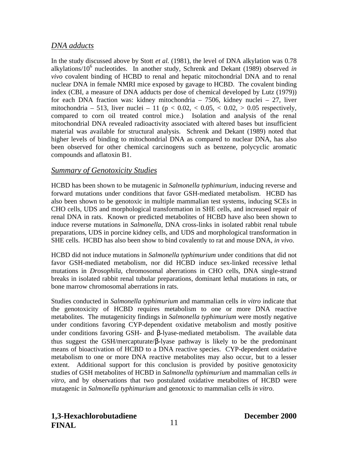#### *DNA adducts*

In the study discussed above by Stott *et al.* (1981), the level of DNA alkylation was 0.78 alkylations/106 nucleotides. In another study, Schrenk and Dekant (1989) observed *in vivo* covalent binding of HCBD to renal and hepatic mitochondrial DNA and to renal nuclear DNA in female NMRI mice exposed by gavage to HCBD. The covalent binding index (CBI, a measure of DNA adducts per dose of chemical developed by Lutz (1979)) for each DNA fraction was: kidney mitochondria – 7506, kidney nuclei – 27, liver mitochondria – 513, liver nuclei – 11 (p <  $0.02$ , <  $0.05$ , <  $0.02$ , >  $0.05$  respectively, compared to corn oil treated control mice.) Isolation and analysis of the renal mitochondrial DNA revealed radioactivity associated with altered bases but insufficient material was available for structural analysis. Schrenk and Dekant (1989) noted that higher levels of binding to mitochondrial DNA as compared to nuclear DNA, has also been observed for other chemical carcinogens such as benzene, polycyclic aromatic compounds and aflatoxin B1.

#### *Summary of Genotoxicity Studies*

HCBD has been shown to be mutagenic in *Salmonella typhimurium*, inducing reverse and forward mutations under conditions that favor GSH-mediated metabolism. HCBD has also been shown to be genotoxic in multiple mammalian test systems, inducing SCEs in CHO cells, UDS and morphological transformation in SHE cells, and increased repair of renal DNA in rats. Known or predicted metabolites of HCBD have also been shown to induce reverse mutations in *Salmonella*, DNA cross-links in isolated rabbit renal tubule preparations, UDS in porcine kidney cells, and UDS and morphological transformation in SHE cells. HCBD has also been show to bind covalently to rat and mouse DNA, *in vivo*.

HCBD did not induce mutations in *Salmonella typhimurium* under conditions that did not favor GSH-mediated metabolism, nor did HCBD induce sex-linked recessive lethal mutations in *Drosophila*, chromosomal aberrations in CHO cells, DNA single-strand breaks in isolated rabbit renal tubular preparations, dominant lethal mutations in rats, or bone marrow chromosomal aberrations in rats.

Studies conducted in *Salmonella typhimurium* and mammalian cells *in vitro* indicate that the genotoxicity of HCBD requires metabolism to one or more DNA reactive metabolites. The mutagenicity findings in *Salmonella typhimurium* were mostly negative under conditions favoring CYP-dependent oxidative metabolism and mostly positive under conditions favoring GSH- and  $\beta$ -lyase-mediated metabolism. The available data thus suggest the GSH/mercapturate/b-lyase pathway is likely to be the predominant means of bioactivation of HCBD to a DNA reactive species. CYP-dependent oxidative metabolism to one or more DNA reactive metabolites may also occur, but to a lesser extent. Additional support for this conclusion is provided by positive genotoxicity studies of GSH metabolites of HCBD in *Salmonella typhimurium* and mammalian cells *in vitro*, and by observations that two postulated oxidative metabolites of HCBD were mutagenic in *Salmonella typhimurium* and genotoxic to mammalian cells *in vitro*.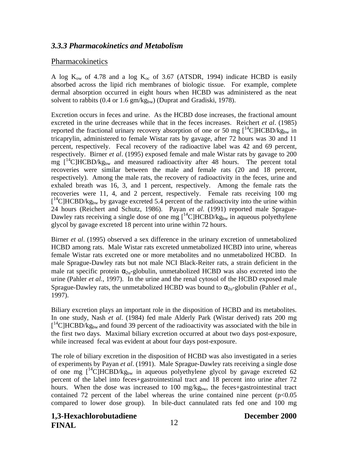## <span id="page-16-0"></span>*3.3.3 Pharmacokinetics and Metabolism*

#### **Pharmacokinetics**

A log  $K_{ow}$  of 4.78 and a log  $K_{oc}$  of 3.67 (ATSDR, 1994) indicate HCBD is easily absorbed across the lipid rich membranes of biologic tissue. For example, complete dermal absorption occurred in eight hours when HCBD was administered as the neat solvent to rabbits (0.4 or 1.6  $gm/kg_{bw}$ ) (Duprat and Gradiski, 1978).

Excretion occurs in feces and urine. As the HCBD dose increases, the fractional amount excreted in the urine decreases while that in the feces increases. Reichert *et al*. (1985) reported the fractional urinary recovery absorption of one or 50 mg  $\left[^{14}C\right]$ HCBD/kg<sub>bw</sub> in tricaprylin, administered to female Wistar rats by gavage, after 72 hours was 30 and 11 percent, respectively. Fecal recovery of the radioactive label was 42 and 69 percent, respectively. Birner *et al*. (1995) exposed female and male Wistar rats by gavage to 200  $mg \left[ {}^{14}C\right]$ HCBD/kg<sub>bw</sub> and measured radioactivity after 48 hours. The percent total recoveries were similar between the male and female rats (20 and 18 percent, respectively). Among the male rats, the recovery of radioactivity in the feces, urine and exhaled breath was 16, 3, and 1 percent, respectively. Among the female rats the recoveries were 11, 4, and 2 percent, respectively. Female rats receiving 100 mg  $[$ <sup>14</sup>C]HCBD/kg<sub>bw</sub> by gavage excreted 5.4 percent of the radioactivity into the urine within 24 hours (Reichert and Schutz, 1986). Payan *et al*. (1991) reported male Sprague-Dawley rats receiving a single dose of one mg  $\int_0^{14}$ C]HCBD/kg<sub>bw</sub> in aqueous polyethylene glycol by gavage excreted 18 percent into urine within 72 hours.

Birner *et al*. (1995) observed a sex difference in the urinary excretion of unmetabolized HCBD among rats. Male Wistar rats excreted unmetabolized HCBD into urine, whereas female Wistar rats excreted one or more metabolites and no unmetabolized HCBD. In male Sprague-Dawley rats but not male NCI Black-Reiter rats, a strain deficient in the male rat specific protein  $\alpha_{2u}$ -globulin, unmetabolized HCBD was also excreted into the urine (Pahler *et al.*, 1997). In the urine and the renal cytosol of the HCBD exposed male Sprague-Dawley rats, the unmetabolized HCBD was bound to  $\alpha_{2u}$ -globulin (Pahler *et al.*, 1997).

Biliary excretion plays an important role in the disposition of HCBD and its metabolites. In one study, Nash *et al*. (1984) fed male Alderly Park (Wistar derived) rats 200 mg  $[$ <sup>14</sup>C]HCBD/kg<sub>bw</sub> and found 39 percent of the radioactivity was associated with the bile in the first two days. Maximal biliary excretion occurred at about two days post-exposure, while increased fecal was evident at about four days post-exposure.

The role of biliary excretion in the disposition of HCBD was also investigated in a series of experiments by Payan *et al*. (1991). Male Sprague-Dawley rats receiving a single dose of one mg  $[$ <sup>14</sup>C]HCBD/kg<sub>bw</sub> in aqueous polyethylene glycol by gavage excreted 62 percent of the label into feces+gastrointestinal tract and 18 percent into urine after 72 hours. When the dose was increased to 100 mg/kg<sub>bw</sub>, the feces+gastrointestinal tract contained 72 percent of the label whereas the urine contained nine percent  $(p<0.05$ compared to lower dose group). In bile-duct cannulated rats fed one and 100 mg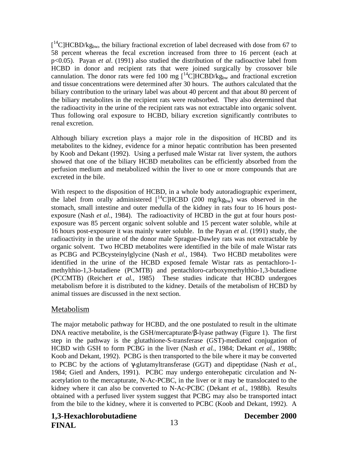$[$ <sup>14</sup>C]HCBD/kg<sub>bw</sub>, the biliary fractional excretion of label decreased with dose from 67 to 58 percent whereas the fecal excretion increased from three to 16 percent (each at p<0.05). Payan *et al*. (1991) also studied the distribution of the radioactive label from HCBD in donor and recipient rats that were joined surgically by crossover bile cannulation. The donor rats were fed 100 mg  $\left[ {}^{14}C\right]$ HCBD/kg<sub>bw</sub> and fractional excretion and tissue concentrations were determined after 30 hours. The authors calculated that the biliary contribution to the urinary label was about 40 percent and that about 80 percent of the biliary metabolites in the recipient rats were reabsorbed. They also determined that the radioactivity in the urine of the recipient rats was not extractable into organic solvent. Thus following oral exposure to HCBD, biliary excretion significantly contributes to renal excretion.

Although biliary excretion plays a major role in the disposition of HCBD and its metabolites to the kidney, evidence for a minor hepatic contribution has been presented by Koob and Dekant (1992). Using a perfused male Wistar rat liver system, the authors showed that one of the biliary HCBD metabolites can be efficiently absorbed from the perfusion medium and metabolized within the liver to one or more compounds that are excreted in the bile.

With respect to the disposition of HCBD, in a whole body autoradiographic experiment, the label from orally administered  $[$ <sup>14</sup>C]HCBD (200 mg/kg<sub>bw</sub>) was observed in the stomach, small intestine and outer medulla of the kidney in rats four to 16 hours postexposure (Nash *et al.*, 1984). The radioactivity of HCBD in the gut at four hours postexposure was 85 percent organic solvent soluble and 15 percent water soluble, while at 16 hours post-exposure it was mainly water soluble. In the Payan *et al*. (1991) study, the radioactivity in the urine of the donor male Sprague-Dawley rats was not extractable by organic solvent. Two HCBD metabolites were identified in the bile of male Wistar rats as PCBG and PCBcysteinylglycine (Nash *et al.*, 1984). Two HCBD metabolites were identified in the urine of the HCBD exposed female Wistar rats as pentachloro-1 methylthio-1,3-butadiene (PCMTB) and pentachloro-carboxymethylthio-1,3-butadiene (PCCMTB) (Reichert *et al.*, 1985) These studies indicate that HCBD undergoes metabolism before it is distributed to the kidney. Details of the metabolism of HCBD by animal tissues are discussed in the next section.

#### Metabolism

The major metabolic pathway for HCBD, and the one postulated to result in the ultimate DNA reactive metabolite, is the GSH/mercapturate/ $\beta$ -lyase pathway (Figure 1). The first step in the pathway is the glutathione-S-transferase (GST)-mediated conjugation of HCBD with GSH to form PCBG in the liver (Nash *et al.*, 1984; Dekant *et al.*, 1988b; Koob and Dekant, 1992). PCBG is then transported to the bile where it may be converted to PCBC by the actions of  $\gamma$ -glutamyltransferase (GGT) and dipeptidase (Nash *et al.*, 1984; Gietl and Anders, 1991). PCBC may undergo enterohepatic circulation and Nacetylation to the mercapturate, N-Ac-PCBC, in the liver or it may be translocated to the kidney where it can also be converted to N-Ac-PCBC (Dekant *et al.*, 1988b). Results obtained with a perfused liver system suggest that PCBG may also be transported intact from the bile to the kidney, where it is converted to PCBC (Koob and Dekant, 1992). A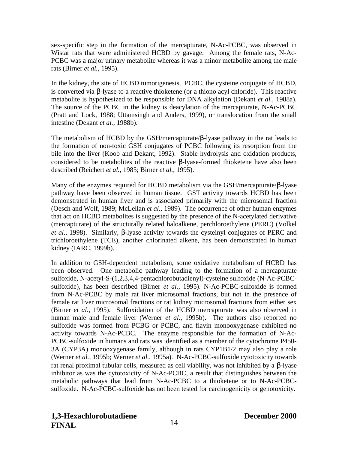sex-specific step in the formation of the mercapturate, N-Ac-PCBC, was observed in Wistar rats that were administered HCBD by gavage. Among the female rats, N-Ac-PCBC was a major urinary metabolite whereas it was a minor metabolite among the male rats (Birner *et al.*, 1995).

In the kidney, the site of HCBD tumorigenesis, PCBC, the cysteine conjugate of HCBD, is converted via b-lyase to a reactive thioketene (or a thiono acyl chloride). This reactive metabolite is hypothesized to be responsible for DNA alkylation (Dekant *et al.*, 1988a). The source of the PCBC in the kidney is deacylation of the mercapturate, N-Ac-PCBC (Pratt and Lock, 1988; Uttamsingh and Anders, 1999), or translocation from the small intestine (Dekant *et al.*, 1988b).

The metabolism of HCBD by the GSH/mercapturate/ $\beta$ -lyase pathway in the rat leads to the formation of non-toxic GSH conjugates of PCBC following its resorption from the bile into the liver (Koob and Dekant, 1992). Stable hydrolysis and oxidation products, considered to be metabolites of the reactive  $\beta$ -lyase-formed thioketene have also been described (Reichert *et al.*, 1985; Birner *et al.*, 1995).

Many of the enzymes required for HCBD metabolism via the GSH/mercapturate/ $\beta$ -lyase pathway have been observed in human tissue. GST activity towards HCBD has been demonstrated in human liver and is associated primarily with the microsomal fraction (Oesch and Wolf, 1989; McLellan *et al.*, 1989). The occurrence of other human enzymes that act on HCBD metabolites is suggested by the presence of the N-acetylated derivative (mercapturate) of the structurally related haloalkene, perchloroethylene (PERC) (Volkel *et al.*, 1998). Similarly, β-lyase activity towards the cysteinyl conjugates of PERC and trichloroethylene (TCE), another chlorinated alkene, has been demonstrated in human kidney (IARC, 1999b).

In addition to GSH-dependent metabolism, some oxidative metabolism of HCBD has been observed. One metabolic pathway leading to the formation of a mercapturate sulfoxide, N-acetyl-S-(1,2,3,4,4-pentachlorobutadienyl)-cysteine sulfoxide (N-Ac-PCBCsulfoxide), has been described (Birner *et al.*, 1995). N-Ac-PCBC-sulfoxide is formed from N-Ac-PCBC by male rat liver microsomal fractions, but not in the presence of female rat liver microsomal fractions or rat kidney microsomal fractions from either sex (Birner *et al.*, 1995). Sulfoxidation of the HCBD mercapturate was also observed in human male and female liver (Werner *et al.*, 1995b). The authors also reported no sulfoxide was formed from PCBG or PCBC, and flavin monooxygenase exhibited no activity towards N-Ac-PCBC. The enzyme responsible for the formation of N-Ac-PCBC-sulfoxide in humans and rats was identified as a member of the cytochrome P450 3A (CYP3A) monooxygenase family, although in rats CYP1B1/2 may also play a role (Werner *et al.*, 1995b; Werner *et al.*, 1995a). N-Ac-PCBC-sulfoxide cytotoxicity towards rat renal proximal tubular cells, measured as cell viability, was not inhibited by a  $\beta$ -lyase inhibitor as was the cytotoxicity of N-Ac-PCBC, a result that distinguishes between the metabolic pathways that lead from N-Ac-PCBC to a thioketene or to N-Ac-PCBCsulfoxide. N-Ac-PCBC-sulfoxide has not been tested for carcinogenicity or genotoxicity.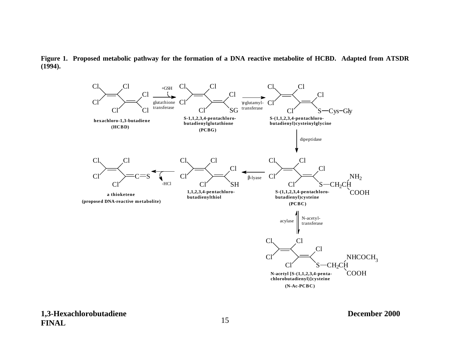



**1,3-Hexachlorobutadiene** December 2000<br> **EINAI FINAL** 15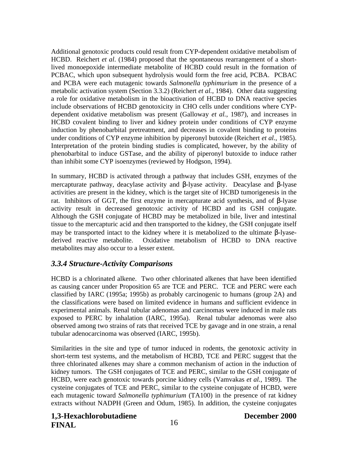<span id="page-20-0"></span>Additional genotoxic products could result from CYP-dependent oxidative metabolism of HCBD. Reichert *et al*. (1984) proposed that the spontaneous rearrangement of a shortlived monoepoxide intermediate metabolite of HCBD could result in the formation of PCBAC, which upon subsequent hydrolysis would form the free acid, PCBA. PCBAC and PCBA were each mutagenic towards *Salmonella typhimurium* in the presence of a metabolic activation system (Section 3.3.2) (Reichert *et al.*, 1984). Other data suggesting a role for oxidative metabolism in the bioactivation of HCBD to DNA reactive species include observations of HCBD genotoxicity in CHO cells under conditions where CYPdependent oxidative metabolism was present (Galloway *et al.*, 1987), and increases in HCBD covalent binding to liver and kidney protein under conditions of CYP enzyme induction by phenobarbital pretreatment, and decreases in covalent binding to proteins under conditions of CYP enzyme inhibition by piperonyl butoxide (Reichert *et al.*, 1985). Interpretation of the protein binding studies is complicated, however, by the ability of phenobarbital to induce GSTase, and the ability of piperonyl butoxide to induce rather than inhibit some CYP isoenzymes (reviewed by Hodgson, 1994).

In summary, HCBD is activated through a pathway that includes GSH, enzymes of the mercapturate pathway, deacylase activity and  $\beta$ -lyase activity. Deacylase and  $\beta$ -lyase activities are present in the kidney, which is the target site of HCBD tumorigenesis in the rat. Inhibitors of GGT, the first enzyme in mercapturate acid synthesis, and of  $\beta$ -lyase activity result in decreased genotoxic activity of HCBD and its GSH conjugate. Although the GSH conjugate of HCBD may be metabolized in bile, liver and intestinal tissue to the mercapturic acid and then transported to the kidney, the GSH conjugate itself may be transported intact to the kidney where it is metabolized to the ultimate  $\beta$ -lyasederived reactive metabolite. Oxidative metabolism of HCBD to DNA reactive metabolites may also occur to a lesser extent.

## *3.3.4 Structure-Activity Comparisons*

HCBD is a chlorinated alkene. Two other chlorinated alkenes that have been identified as causing cancer under Proposition 65 are TCE and PERC. TCE and PERC were each classified by IARC (1995a; 1995b) as probably carcinogenic to humans (group 2A) and the classifications were based on limited evidence in humans and sufficient evidence in experimental animals. Renal tubular adenomas and carcinomas were induced in male rats exposed to PERC by inhalation (IARC, 1995a). Renal tubular adenomas were also observed among two strains of rats that received TCE by gavage and in one strain, a renal tubular adenocarcinoma was observed (IARC, 1995b).

Similarities in the site and type of tumor induced in rodents, the genotoxic activity in short-term test systems, and the metabolism of HCBD, TCE and PERC suggest that the three chlorinated alkenes may share a common mechanism of action in the induction of kidney tumors. The GSH conjugates of TCE and PERC, similar to the GSH conjugate of HCBD, were each genotoxic towards porcine kidney cells (Vamvakas *et al.*, 1989). The cysteine conjugates of TCE and PERC, similar to the cysteine conjugate of HCBD, were each mutagenic toward *Salmonella typhimurium* (TA100) in the presence of rat kidney extracts without NADPH (Green and Odum, 1985). In addition, the cysteine conjugates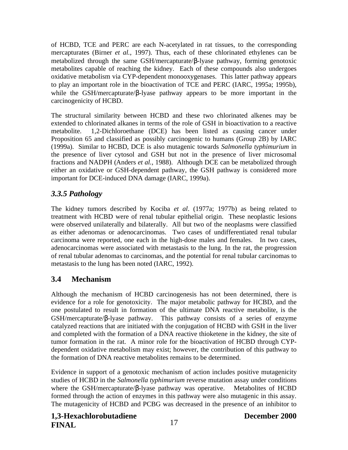<span id="page-21-0"></span>of HCBD, TCE and PERC are each N-acetylated in rat tissues, to the corresponding mercapturates (Birner *et al.*, 1997). Thus, each of these chlorinated ethylenes can be metabolized through the same GSH/mercapturate/ $\beta$ -lyase pathway, forming genotoxic metabolites capable of reaching the kidney. Each of these compounds also undergoes oxidative metabolism via CYP-dependent monooxygenases. This latter pathway appears to play an important role in the bioactivation of TCE and PERC (IARC, 1995a; 1995b), while the GSH/mercapturate/ $\beta$ -lyase pathway appears to be more important in the carcinogenicity of HCBD.

The structural similarity between HCBD and these two chlorinated alkenes may be extended to chlorinated alkanes in terms of the role of GSH in bioactivation to a reactive metabolite. 1,2-Dichloroethane (DCE) has been listed as causing cancer under Proposition 65 and classified as possibly carcinogenic to humans (Group 2B) by IARC (1999a). Similar to HCBD, DCE is also mutagenic towards *Salmonella typhimurium* in the presence of liver cytosol and GSH but not in the presence of liver microsomal fractions and NADPH (Anders *et al.*, 1988). Although DCE can be metabolized through either an oxidative or GSH-dependent pathway, the GSH pathway is considered more important for DCE-induced DNA damage (IARC, 1999a).

## *3.3.5 Pathology*

The kidney tumors described by Kociba *et al*. (1977a; 1977b) as being related to treatment with HCBD were of renal tubular epithelial origin. These neoplastic lesions were observed unilaterally and bilaterally. All but two of the neoplasms were classified as either adenomas or adenocarcinomas. Two cases of undifferentiated renal tubular carcinoma were reported, one each in the high-dose males and females. In two cases, adenocarcinomas were associated with metastasis to the lung. In the rat, the progression of renal tubular adenomas to carcinomas, and the potential for renal tubular carcinomas to metastasis to the lung has been noted (IARC, 1992).

## **3.4 Mechanism**

Although the mechanism of HCBD carcinogenesis has not been determined, there is evidence for a role for genotoxicity. The major metabolic pathway for HCBD, and the one postulated to result in formation of the ultimate DNA reactive metabolite, is the  $GSH/mercapture/\beta$ -lyase pathway. This pathway consists of a series of enzyme catalyzed reactions that are initiated with the conjugation of HCBD with GSH in the liver and completed with the formation of a DNA reactive thioketene in the kidney, the site of tumor formation in the rat. A minor role for the bioactivation of HCBD through CYPdependent oxidative metabolism may exist; however, the contribution of this pathway to the formation of DNA reactive metabolites remains to be determined.

Evidence in support of a genotoxic mechanism of action includes positive mutagenicity studies of HCBD in the *Salmonella typhimurium* reverse mutation assay under conditions where the GSH/mercapturate/ $\beta$ -lyase pathway was operative. Metabolites of HCBD formed through the action of enzymes in this pathway were also mutagenic in this assay. The mutagenicity of HCBD and PCBG was decreased in the presence of an inhibitor to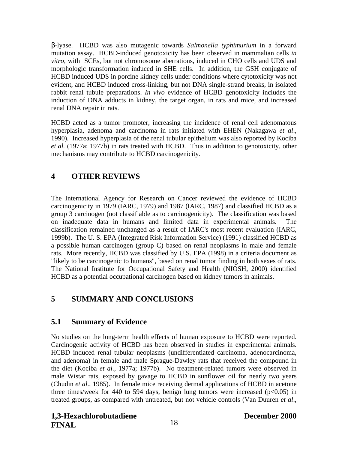<span id="page-22-0"></span>b-lyase. HCBD was also mutagenic towards *Salmonella typhimurium* in a forward mutation assay. HCBD-induced genotoxicity has been observed in mammalian cells *in vitro,* with SCEs, but not chromosome aberrations, induced in CHO cells and UDS and morphologic transformation induced in SHE cells. In addition, the GSH conjugate of HCBD induced UDS in porcine kidney cells under conditions where cytotoxicity was not evident, and HCBD induced cross-linking, but not DNA single-strand breaks, in isolated rabbit renal tubule preparations. *In vivo* evidence of HCBD genotoxicity includes the induction of DNA adducts in kidney, the target organ, in rats and mice, and increased renal DNA repair in rats.

HCBD acted as a tumor promoter, increasing the incidence of renal cell adenomatous hyperplasia, adenoma and carcinoma in rats initiated with EHEN (Nakagawa *et al*., 1990). Increased hyperplasia of the renal tubular epithelium was also reported by Kociba *et al.* (1977a; 1977b) in rats treated with HCBD. Thus in addition to genotoxicity, other mechanisms may contribute to HCBD carcinogenicity.

## **4 OTHER REVIEWS**

The International Agency for Research on Cancer reviewed the evidence of HCBD carcinogenicity in 1979 (IARC, 1979) and 1987 (IARC, 1987) and classified HCBD as a group 3 carcinogen (not classifiable as to carcinogenicity). The classification was based on inadequate data in humans and limited data in experimental animals. The classification remained unchanged as a result of IARC's most recent evaluation (IARC, 1999b). The U. S. EPA (Integrated Risk Information Service) (1991) classified HCBD as a possible human carcinogen (group C) based on renal neoplasms in male and female rats. More recently, HCBD was classified by U.S. EPA (1998) in a criteria document as "likely to be carcinogenic to humans", based on renal tumor finding in both sexes of rats. The National Institute for Occupational Safety and Health (NIOSH, 2000) identified HCBD as a potential occupational carcinogen based on kidney tumors in animals.

## **5 SUMMARY AND CONCLUSIONS**

## **5.1 Summary of Evidence**

No studies on the long-term health effects of human exposure to HCBD were reported. Carcinogenic activity of HCBD has been observed in studies in experimental animals. HCBD induced renal tubular neoplasms (undifferentiated carcinoma, adenocarcinoma, and adenoma) in female and male Sprague-Dawley rats that received the compound in the diet (Kociba *et al.*, 1977a; 1977b). No treatment-related tumors were observed in male Wistar rats, exposed by gavage to HCBD in sunflower oil for nearly two years (Chudin *et al*., 1985). In female mice receiving dermal applications of HCBD in acetone three times/week for 440 to 594 days, benign lung tumors were increased  $(p<0.05)$  in treated groups, as compared with untreated, but not vehicle controls (Van Duuren *et al*.,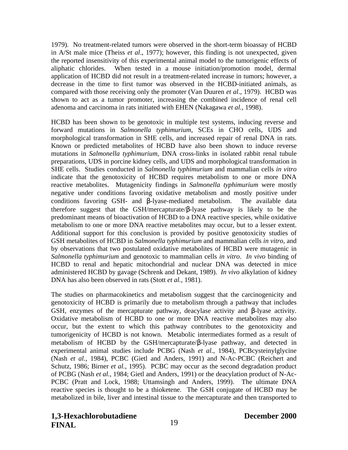1979). No treatment-related tumors were observed in the short-term bioassay of HCBD in A/St male mice (Theiss *et al*., 1977); however, this finding is not unexpected, given the reported insensitivity of this experimental animal model to the tumorigenic effects of aliphatic chlorides. When tested in a mouse initiation/promotion model, dermal application of HCBD did not result in a treatment-related increase in tumors; however, a decrease in the time to first tumor was observed in the HCBD-initiated animals, as compared with those receiving only the promoter (Van Duuren *et al*., 1979). HCBD was shown to act as a tumor promoter, increasing the combined incidence of renal cell adenoma and carcinoma in rats initiated with EHEN (Nakagawa *et al.*, 1998).

HCBD has been shown to be genotoxic in multiple test systems, inducing reverse and forward mutations in *Salmonella typhimurium*, SCEs in CHO cells, UDS and morphological transformation in SHE cells, and increased repair of renal DNA in rats. Known or predicted metabolites of HCBD have also been shown to induce reverse mutations in *Salmonella typhimurium*, DNA cross-links in isolated rabbit renal tubule preparations, UDS in porcine kidney cells, and UDS and morphological transformation in SHE cells. Studies conducted in *Salmonella typhimurium* and mammalian cells *in vitro*  indicate that the genotoxicity of HCBD requires metabolism to one or more DNA reactive metabolites. Mutagenicity findings in *Salmonella typhimurium* were mostly negative under conditions favoring oxidative metabolism and mostly positive under conditions favoring GSH- and  $\beta$ -lyase-mediated metabolism. The available data therefore suggest that the GSH/mercapturate/ $\beta$ -lyase pathway is likely to be the predominant means of bioactivation of HCBD to a DNA reactive species, while oxidative metabolism to one or more DNA reactive metabolites may occur, but to a lesser extent. Additional support for this conclusion is provided by positive genotoxicity studies of GSH metabolites of HCBD in *Salmonella typhimurium* and mammalian cells *in vitro*, and by observations that two postulated oxidative metabolites of HCBD were mutagenic in *Salmonella typhimurium* and genotoxic to mammalian cells *in vitro*. *In vivo* binding of HCBD to renal and hepatic mitochondrial and nuclear DNA was detected in mice administered HCBD by gavage (Schrenk and Dekant, 1989). *In vivo* alkylation of kidney DNA has also been observed in rats (Stott *et al.,* 1981).

The studies on pharmacokinetics and metabolism suggest that the carcinogenicity and genotoxicity of HCBD is primarily due to metabolism through a pathway that includes GSH, enzymes of the mercapturate pathway, deacylase activity and  $\beta$ -lyase activity. Oxidative metabolism of HCBD to one or more DNA reactive metabolites may also occur, but the extent to which this pathway contributes to the genotoxicity and tumorigenicity of HCBD is not known. Metabolic intermediates formed as a result of metabolism of HCBD by the GSH/mercapturate/ $\beta$ -lyase pathway, and detected in experimental animal studies include PCBG (Nash *et al.*, 1984), PCBcysteinylglycine (Nash *et al.*, 1984), PCBC (Gietl and Anders, 1991) and N-Ac-PCBC (Reichert and Schutz, 1986; Birner *et al.*, 1995). PCBC may occur as the second degradation product of PCBG (Nash *et al.*, 1984; Gietl and Anders, 1991) or the deacylation product of N-Ac-PCBC (Pratt and Lock, 1988; Uttamsingh and Anders, 1999). The ultimate DNA reactive species is thought to be a thioketene. The GSH conjugate of HCBD may be metabolized in bile, liver and intestinal tissue to the mercapturate and then transported to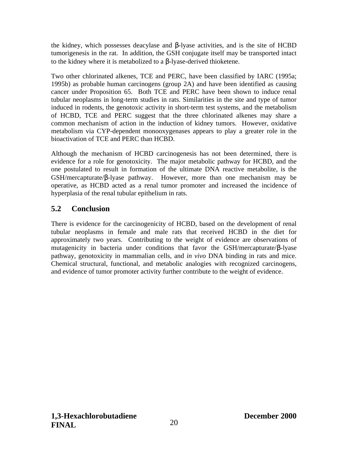<span id="page-24-0"></span>the kidney, which possesses deacylase and  $\beta$ -lyase activities, and is the site of HCBD tumorigenesis in the rat. In addition, the GSH conjugate itself may be transported intact to the kidney where it is metabolized to a  $\beta$ -lyase-derived thioketene.

Two other chlorinated alkenes, TCE and PERC, have been classified by IARC (1995a; 1995b) as probable human carcinogens (group 2A) and have been identified as causing cancer under Proposition 65. Both TCE and PERC have been shown to induce renal tubular neoplasms in long-term studies in rats. Similarities in the site and type of tumor induced in rodents, the genotoxic activity in short-term test systems, and the metabolism of HCBD, TCE and PERC suggest that the three chlorinated alkenes may share a common mechanism of action in the induction of kidney tumors. However, oxidative metabolism via CYP-dependent monooxygenases appears to play a greater role in the bioactivation of TCE and PERC than HCBD.

Although the mechanism of HCBD carcinogenesis has not been determined, there is evidence for a role for genotoxicity. The major metabolic pathway for HCBD, and the one postulated to result in formation of the ultimate DNA reactive metabolite, is the  $GSH/m$ ercapturate/ $\beta$ -lyase pathway. However, more than one mechanism may be operative, as HCBD acted as a renal tumor promoter and increased the incidence of hyperplasia of the renal tubular epithelium in rats.

## **5.2 Conclusion**

There is evidence for the carcinogenicity of HCBD, based on the development of renal tubular neoplasms in female and male rats that received HCBD in the diet for approximately two years. Contributing to the weight of evidence are observations of mutagenicity in bacteria under conditions that favor the GSH/mercapturate/ $\beta$ -lyase pathway, genotoxicity in mammalian cells, and *in vivo* DNA binding in rats and mice. Chemical structural, functional, and metabolic analogies with recognized carcinogens, and evidence of tumor promoter activity further contribute to the weight of evidence.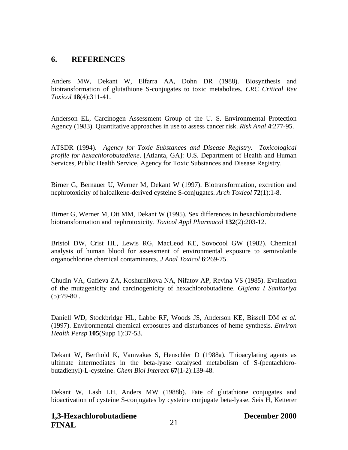#### <span id="page-25-0"></span>**6. REFERENCES**

Anders MW, Dekant W, Elfarra AA, Dohn DR (1988). Biosynthesis and biotransformation of glutathione S-conjugates to toxic metabolites. *CRC Critical Rev Toxicol* **18**(4):311-41.

Anderson EL, Carcinogen Assessment Group of the U. S. Environmental Protection Agency (1983). Quantitative approaches in use to assess cancer risk. *Risk Anal* **4**:277-95.

ATSDR (1994). *Agency for Toxic Substances and Disease Registry. Toxicological profile for hexachlorobutadiene*. [Atlanta, GA]: U.S. Department of Health and Human Services, Public Health Service, Agency for Toxic Substances and Disease Registry.

Birner G, Bernauer U, Werner M, Dekant W (1997). Biotransformation, excretion and nephrotoxicity of haloalkene-derived cysteine S-conjugates. *Arch Toxicol* **72**(1):1-8.

Birner G, Werner M, Ott MM, Dekant W (1995). Sex differences in hexachlorobutadiene biotransformation and nephrotoxicity. *Toxicol Appl Pharmacol* **132**(2):203-12.

Bristol DW, Crist HL, Lewis RG, MacLeod KE, Sovocool GW (1982). Chemical analysis of human blood for assessment of environmental exposure to semivolatile organochlorine chemical contaminants. *J Anal Toxicol* **6**:269-75.

Chudin VA, Gafieva ZA, Koshurnikova NA, Nifatov AP, Revina VS (1985). Evaluation of the mutagenicity and carcinogenicity of hexachlorobutadiene. *Gigiena I Sanitariya*   $(5):79-80.$ 

Daniell WD, Stockbridge HL, Labbe RF, Woods JS, Anderson KE, Bissell DM *et al*. (1997). Environmental chemical exposures and disturbances of heme synthesis. *Environ Health Persp* **105**(Supp 1):37-53.

Dekant W, Berthold K, Vamvakas S, Henschler D (1988a). Thioacylating agents as ultimate intermediates in the beta-lyase catalysed metabolism of S-(pentachlorobutadienyl)-L-cysteine. *Chem Biol Interact* **67**(1-2):139-48.

Dekant W, Lash LH, Anders MW (1988b). Fate of glutathione conjugates and bioactivation of cysteine S-conjugates by cysteine conjugate beta-lyase. Seis H, Ketterer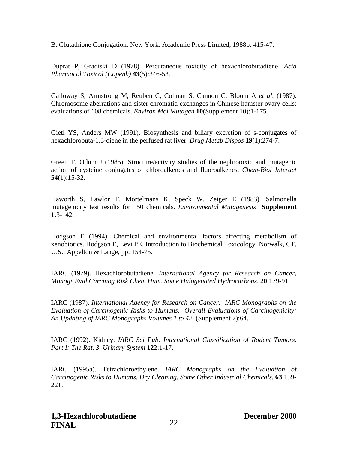B. Glutathione Conjugation. New York: Academic Press Limited, 1988b: 415-47.

Duprat P, Gradiski D (1978). Percutaneous toxicity of hexachlorobutadiene. *Acta Pharmacol Toxicol (Copenh)* **43**(5):346-53.

Galloway S, Armstrong M, Reuben C, Colman S, Cannon C, Bloom A *et al*. (1987). Chromosome aberrations and sister chromatid exchanges in Chinese hamster ovary cells: evaluations of 108 chemicals. *Environ Mol Mutagen* **10**(Supplement 10):1-175.

Gietl YS, Anders MW (1991). Biosynthesis and biliary excretion of s-conjugates of hexachlorobuta-1,3-diene in the perfused rat liver. *Drug Metab Dispos* **19**(1):274-7.

Green T, Odum J (1985). Structure/activity studies of the nephrotoxic and mutagenic action of cysteine conjugates of chloroalkenes and fluoroalkenes. *Chem-Biol Interact*  **54**(1):15-32.

Haworth S, Lawlor T, Mortelmans K, Speck W, Zeiger E (1983). Salmonella mutagenicity test results for 150 chemicals. *Environmental Mutagenesis* **Supplement 1**:3-142.

Hodgson E (1994). Chemical and environmental factors affecting metabolism of xenobiotics. Hodgson E, Levi PE. Introduction to Biochemical Toxicology. Norwalk, CT, U.S.: Appelton & Lange, pp. 154-75.

IARC (1979). Hexachlorobutadiene. *International Agency for Research on Cancer, Monogr Eval Carcinog Risk Chem Hum. Some Halogenated Hydrocarbons.* **20**:179-91.

IARC (1987). *International Agency for Research on Cancer. IARC Monographs on the Evaluation of Carcinogenic Risks to Humans. Overall Evaluations of Carcinogenicity: An Updating of IARC Monographs Volumes 1 to 42.* (Supplement 7):64.

IARC (1992). Kidney. *IARC Sci Pub. International Classification of Rodent Tumors. Part I: The Rat. 3. Urinary System* **122**:1-17.

IARC (1995a). Tetrachloroethylene. *IARC Monographs on the Evaluation of Carcinogenic Risks to Humans. Dry Cleaning, Some Other Industrial Chemicals.* **63**:159 221.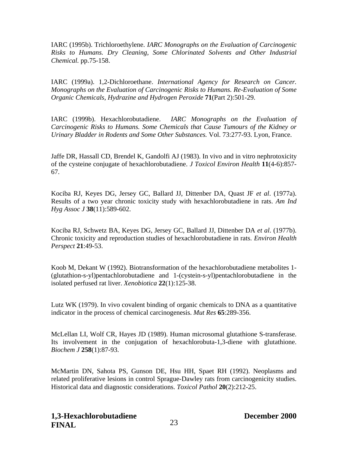IARC (1995b). Trichloroethylene. *IARC Monographs on the Evaluation of Carcinogenic Risks to Humans. Dry Cleaning, Some Chlorinated Solvents and Other Industrial Chemical.* pp.75-158.

IARC (1999a). 1,2-Dichloroethane. *International Agency for Research on Cancer. Monographs on the Evaluation of Carcinogenic Risks to Humans. Re-Evaluation of Some Organic Chemicals, Hydrazine and Hydrogen Peroxide* **71**(Part 2):501-29.

IARC (1999b). Hexachlorobutadiene. *IARC Monographs on the Evaluation of Carcinogenic Risks to Humans. Some Chemicals that Cause Tumours of the Kidney or Urinary Bladder in Rodents and Some Other Substances.* Vol. 73:277-93. Lyon, France.

Jaffe DR, Hassall CD, Brendel K, Gandolfi AJ (1983). In vivo and in vitro nephrotoxicity of the cysteine conjugate of hexachlorobutadiene. *J Toxicol Environ Health* **11**(4-6):857 67.

Kociba RJ, Keyes DG, Jersey GC, Ballard JJ, Dittenber DA, Quast JF *et al*. (1977a). Results of a two year chronic toxicity study with hexachlorobutadiene in rats. *Am Ind Hyg Assoc J* **38**(11):589-602.

Kociba RJ, Schwetz BA, Keyes DG, Jersey GC, Ballard JJ, Dittenber DA *et al*. (1977b). Chronic toxicity and reproduction studies of hexachlorobutadiene in rats. *Environ Health Perspect* **21**:49-53.

Koob M, Dekant W (1992). Biotransformation of the hexachlorobutadiene metabolites 1 (glutathion-s-yl)pentachlorobutadiene and 1-(cystein-s-yl)pentachlorobutadiene in the isolated perfused rat liver. *Xenobiotica* **22**(1):125-38.

Lutz WK (1979). In vivo covalent binding of organic chemicals to DNA as a quantitative indicator in the process of chemical carcinogenesis. *Mut Res* **65**:289-356.

McLellan LI, Wolf CR, Hayes JD (1989). Human microsomal glutathione S-transferase. Its involvement in the conjugation of hexachlorobuta-1,3-diene with glutathione. *Biochem J* **258**(1):87-93.

McMartin DN, Sahota PS, Gunson DE, Hsu HH, Spaet RH (1992). Neoplasms and related proliferative lesions in control Sprague-Dawley rats from carcinogenicity studies. Historical data and diagnostic considerations. *Toxicol Pathol* **20**(2):212-25.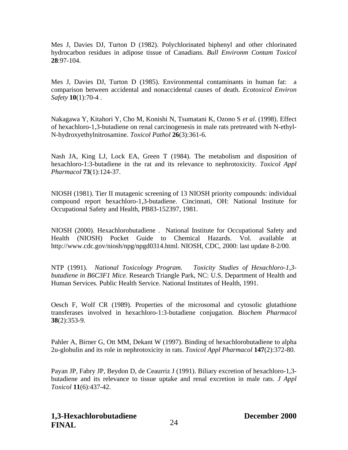Mes J, Davies DJ, Turton D (1982). Polychlorinated biphenyl and other chlorinated hydrocarbon residues in adipose tissue of Canadians. *Bull Environm Contam Toxicol*  **28**:97-104.

Mes J, Davies DJ, Turton D (1985). Environmental contaminants in human fat: a comparison between accidental and nonaccidental causes of death. *Ecotoxicol Environ Safety* **10**(1):70-4 .

Nakagawa Y, Kitahori Y, Cho M, Konishi N, Tsumatani K, Ozono S *et al*. (1998). Effect of hexachloro-1,3-butadiene on renal carcinogenesis in male rats pretreated with N-ethyl-N-hydroxyethylnitrosamine. *Toxicol Pathol* **26**(3):361-6.

Nash JA, King LJ, Lock EA, Green T (1984). The metabolism and disposition of hexachloro-1:3-butadiene in the rat and its relevance to nephrotoxicity. *Toxicol Appl Pharmacol* **73**(1):124-37.

NIOSH (1981). Tier II mutagenic screening of 13 NIOSH priority compounds: individual compound report hexachloro-1,3-butadiene. Cincinnati, OH: National Institute for Occupational Safety and Health, PB83-152397, 1981.

NIOSH (2000). Hexachlorobutadiene . National Institute for Occupational Safety and Health (NIOSH) Pocket Guide to Chemical Hazards. Vol. available at http://www.cdc.gov/niosh/npg/npgd0314.html. NIOSH, CDC, 2000: last update 8-2/00.

NTP (1991). *National Toxicology Program. Toxicity Studies of Hexachloro-1,3 butadiene in B6C3F1 Mice.* Research Triangle Park, NC: U.S. Department of Health and Human Services. Public Health Service. National Institutes of Health, 1991.

Oesch F, Wolf CR (1989). Properties of the microsomal and cytosolic glutathione transferases involved in hexachloro-1:3-butadiene conjugation. *Biochem Pharmacol*  **38**(2):353-9.

Pahler A, Birner G, Ott MM, Dekant W (1997). Binding of hexachlorobutadiene to alpha 2u-globulin and its role in nephrotoxicity in rats. *Toxicol Appl Pharmacol* **147**(2):372-80.

Payan JP, Fabry JP, Beydon D, de Ceaurriz J (1991). Biliary excretion of hexachloro-1,3 butadiene and its relevance to tissue uptake and renal excretion in male rats. *J Appl Toxicol* **11**(6):437-42.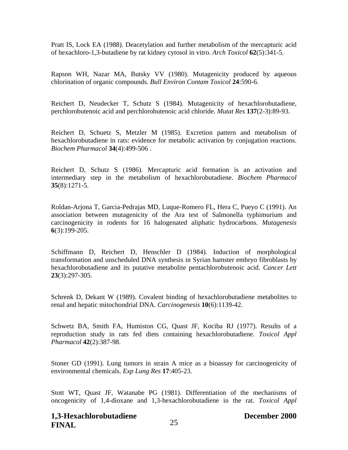Pratt IS, Lock EA (1988). Deacetylation and further metabolism of the mercapturic acid of hexachloro-1,3-butadiene by rat kidney cytosol in vitro. *Arch Toxicol* **62**(5):341-5.

Rapson WH, Nazar MA, Butsky VV (1980). Mutagenicity produced by aqueous chlorination of organic compounds. *Bull Environ Contam Toxicol* **24**:590-6.

Reichert D, Neudecker T, Schutz S (1984). Mutagenicity of hexachlorobutadiene, perchlorobutenoic acid and perchlorobutenoic acid chloride. *Mutat Res* **137**(2-3):89-93.

Reichert D, Schuetz S, Metzler M (1985). Excretion pattern and metabolism of hexachlorobutadiene in rats: evidence for metabolic activation by conjugation reactions. *Biochem Pharmacol* **34**(4):499-506 .

Reichert D, Schutz S (1986). Mercapturic acid formation is an activation and intermediary step in the metabolism of hexachlorobutadiene. *Biochem Pharmacol*  **35**(8):1271-5.

Roldan-Arjona T, Garcia-Pedrajas MD, Luque-Romero FL, Hera C, Pueyo C (1991). An association between mutagenicity of the Ara test of Salmonella typhimurium and carcinogenicity in rodents for 16 halogenated aliphatic hydrocarbons. *Mutagenesis*  **6**(3):199-205.

Schiffmann D, Reichert D, Henschler D (1984). Induction of morphological transformation and unscheduled DNA synthesis in Syrian hamster embryo fibroblasts by hexachlorobutadiene and its putative metabolite pentachlorobutenoic acid. *Cancer Lett*  **23**(3):297-305.

Schrenk D, Dekant W (1989). Covalent binding of hexachlorobutadiene metabolites to renal and hepatic mitochondrial DNA. *Carcinogenesis* **10**(6):1139-42.

Schwetz BA, Smith FA, Humiston CG, Quast JF, Kociba RJ (1977). Results of a reproduction study in rats fed diets containing hexachlorobutadiene. *Toxicol Appl Pharmacol* **42**(2):387-98.

Stoner GD (1991). Lung tumors in strain A mice as a bioassay for carcinogenicity of environmental chemicals. *Exp Lung Res* **17**:405-23.

Stott WT, Quast JF, Watanabe PG (1981). Differentiation of the mechanisms of oncogenicity of 1,4-dioxane and 1,3-hexachlorobutadiene in the rat. *Toxicol Appl*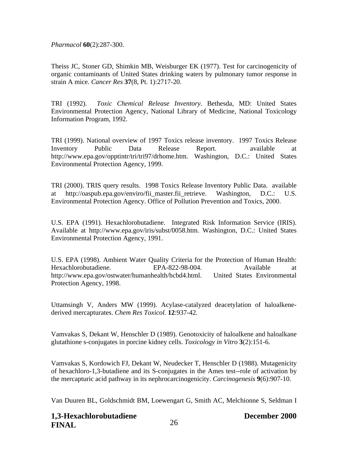*Pharmacol* **60**(2):287-300.

Theiss JC, Stoner GD, Shimkin MB, Weisburger EK (1977). Test for carcinogenicity of organic contaminants of United States drinking waters by pulmonary tumor response in strain A mice. *Cancer Res* **37**(8, Pt. 1):2717-20.

TRI (1992). *Toxic Chemical Release Inventory*. Bethesda, MD: United States Environmental Protection Agency, National Library of Medicine, National Toxicology Information Program, 1992.

TRI (1999). National overview of 1997 Toxics release inventory. 1997 Toxics Release Inventory Public Data Release Report. available at http://www.epa.gov/opptintr/tri/tri97/drhome.htm. Washington, D.C.: United States Environmental Protection Agency, 1999.

TRI (2000). TRIS query results. 1998 Toxics Release Inventory Public Data. available at http://oaspub.epa.gov/enviro/fii\_master.fii\_retrieve. Washington, D.C.: U.S. Environmental Protection Agency. Office of Pollution Prevention and Toxics, 2000.

U.S. EPA (1991). Hexachlorobutadiene. Integrated Risk Information Service (IRIS). Available at http://www.epa.gov/iris/subst/0058.htm. Washington, D.C.: United States Environmental Protection Agency, 1991.

U.S. EPA (1998). Ambient Water Quality Criteria for the Protection of Human Health: Hexachlorobutadiene. EPA-822-98-004. Available at http://www.epa.gov/ostwater/humanhealth/hcbd4.html. United States Environmental Protection Agency, 1998.

Uttamsingh V, Anders MW (1999). Acylase-catalyzed deacetylation of haloalkenederived mercapturates. *Chem Res Toxicol.* **12**:937-42.

Vamvakas S, Dekant W, Henschler D (1989). Genotoxicity of haloalkene and haloalkane glutathione s-conjugates in porcine kidney cells. *Toxicology in Vitro* **3**(2):151-6.

Vamvakas S, Kordowich FJ, Dekant W, Neudecker T, Henschler D (1988). Mutagenicity of hexachloro-1,3-butadiene and its S-conjugates in the Ames test--role of activation by the mercapturic acid pathway in its nephrocarcinogenicity. *Carcinogenesis* **9**(6):907-10.

Van Duuren BL, Goldschmidt BM, Loewengart G, Smith AC, Melchionne S, Seldman I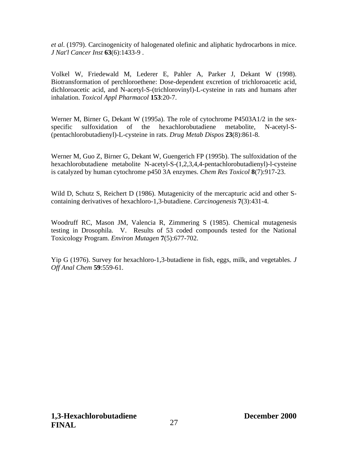*et al*. (1979). Carcinogenicity of halogenated olefinic and aliphatic hydrocarbons in mice. *J Nat'l Cancer Inst* **63**(6):1433-9 .

Volkel W, Friedewald M, Lederer E, Pahler A, Parker J, Dekant W (1998). Biotransformation of perchloroethene: Dose-dependent excretion of trichloroacetic acid, dichloroacetic acid, and N-acetyl-S-(trichlorovinyl)-L-cysteine in rats and humans after inhalation. *Toxicol Appl Pharmacol* **153**:20-7.

Werner M, Birner G, Dekant W (1995a). The role of cytochrome P4503A1/2 in the sexspecific sulfoxidation of the hexachlorobutadiene metabolite, N-acetyl-S (pentachlorobutadienyl)-L-cysteine in rats. *Drug Metab Dispos* **23**(8):861-8.

Werner M, Guo Z, Birner G, Dekant W, Guengerich FP (1995b). The sulfoxidation of the hexachlorobutadiene metabolite N-acetyl-S-(1,2,3,4,4-pentachlorobutadienyl)-l-cysteine is catalyzed by human cytochrome p450 3A enzymes. *Chem Res Toxicol* **8**(7):917-23.

Wild D, Schutz S, Reichert D (1986). Mutagenicity of the mercapturic acid and other Scontaining derivatives of hexachloro-1,3-butadiene. *Carcinogenesis* **7**(3):431-4.

Woodruff RC, Mason JM, Valencia R, Zimmering S (1985). Chemical mutagenesis testing in Drosophila. V. Results of 53 coded compounds tested for the National Toxicology Program. *Environ Mutagen* **7**(5):677-702.

Yip G (1976). Survey for hexachloro-1,3-butadiene in fish, eggs, milk, and vegetables. *J Off Anal Chem* **59**:559-61.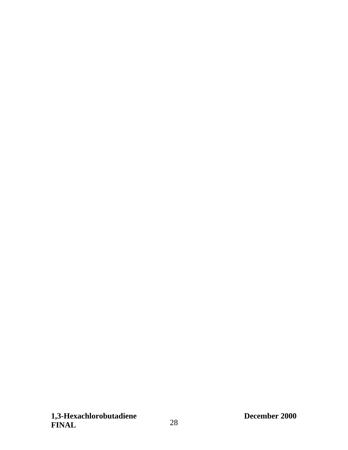**1,3-Hexachlorobutadiene December 2000**   $\overline{\textbf{FINAL}}$